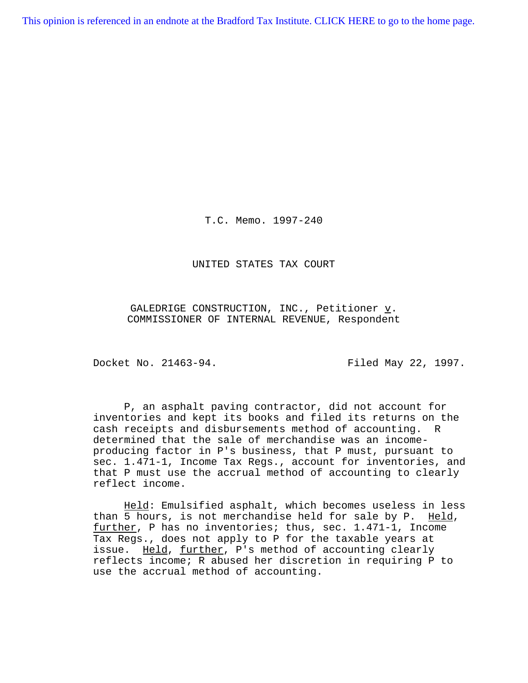[This opinion is referenced in an endnote at the Bradford Tax Institute. CLICK HERE to go to the home page.](http://bradfordtaxinstitute.com/index1.aspx)

T.C. Memo. 1997-240

UNITED STATES TAX COURT

GALEDRIGE CONSTRUCTION, INC., Petitioner  $\underline{v}$ . COMMISSIONER OF INTERNAL REVENUE, Respondent

Docket No. 21463-94. Filed May 22, 1997.

P, an asphalt paving contractor, did not account for inventories and kept its books and filed its returns on the cash receipts and disbursements method of accounting. R determined that the sale of merchandise was an incomeproducing factor in P's business, that P must, pursuant to sec. 1.471-1, Income Tax Regs., account for inventories, and that P must use the accrual method of accounting to clearly reflect income.

Held: Emulsified asphalt, which becomes useless in less than 5 hours, is not merchandise held for sale by P. Held, further, P has no inventories; thus, sec. 1.471-1, Income Tax Regs., does not apply to P for the taxable years at issue. Held, further, P's method of accounting clearly reflects income; R abused her discretion in requiring P to use the accrual method of accounting.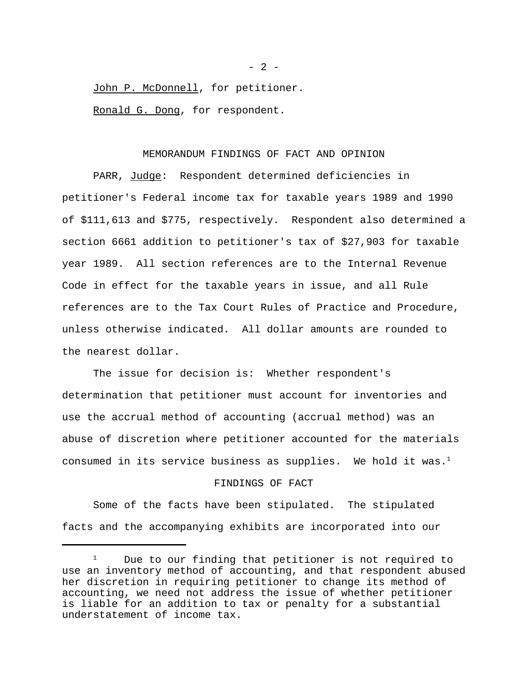John P. McDonnell, for petitioner.

Ronald G. Dong, for respondent.

# MEMORANDUM FINDINGS OF FACT AND OPINION

PARR, Judge: Respondent determined deficiencies in petitioner's Federal income tax for taxable years 1989 and 1990 of \$111,613 and \$775, respectively. Respondent also determined a section 6661 addition to petitioner's tax of \$27,903 for taxable year 1989. All section references are to the Internal Revenue Code in effect for the taxable years in issue, and all Rule references are to the Tax Court Rules of Practice and Procedure, unless otherwise indicated. All dollar amounts are rounded to the nearest dollar.

The issue for decision is: Whether respondent's determination that petitioner must account for inventories and use the accrual method of accounting (accrual method) was an abuse of discretion where petitioner accounted for the materials consumed in its service business as supplies. We hold it was.<sup>1</sup>

# FINDINGS OF FACT

Some of the facts have been stipulated. The stipulated facts and the accompanying exhibits are incorporated into our

 $- 2 -$ 

<sup>&</sup>lt;sup>1</sup> Due to our finding that petitioner is not required to use an inventory method of accounting, and that respondent abused her discretion in requiring petitioner to change its method of accounting, we need not address the issue of whether petitioner is liable for an addition to tax or penalty for a substantial understatement of income tax.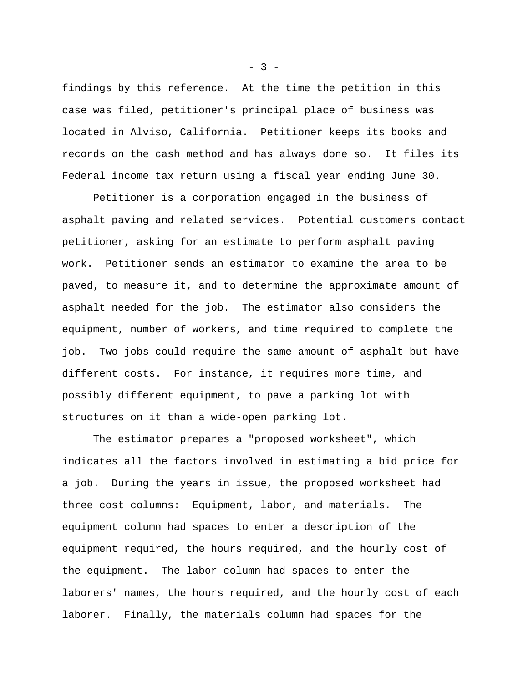findings by this reference. At the time the petition in this case was filed, petitioner's principal place of business was located in Alviso, California. Petitioner keeps its books and records on the cash method and has always done so. It files its Federal income tax return using a fiscal year ending June 30.

Petitioner is a corporation engaged in the business of asphalt paving and related services. Potential customers contact petitioner, asking for an estimate to perform asphalt paving work. Petitioner sends an estimator to examine the area to be paved, to measure it, and to determine the approximate amount of asphalt needed for the job. The estimator also considers the equipment, number of workers, and time required to complete the job. Two jobs could require the same amount of asphalt but have different costs. For instance, it requires more time, and possibly different equipment, to pave a parking lot with structures on it than a wide-open parking lot.

 The estimator prepares a "proposed worksheet", which indicates all the factors involved in estimating a bid price for a job. During the years in issue, the proposed worksheet had three cost columns: Equipment, labor, and materials. The equipment column had spaces to enter a description of the equipment required, the hours required, and the hourly cost of the equipment. The labor column had spaces to enter the laborers' names, the hours required, and the hourly cost of each laborer. Finally, the materials column had spaces for the

 $- 3 -$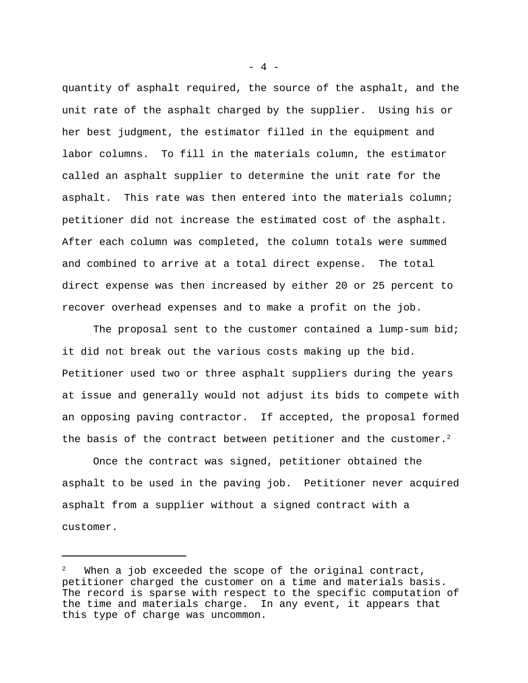quantity of asphalt required, the source of the asphalt, and the unit rate of the asphalt charged by the supplier. Using his or her best judgment, the estimator filled in the equipment and labor columns. To fill in the materials column, the estimator called an asphalt supplier to determine the unit rate for the asphalt. This rate was then entered into the materials column; petitioner did not increase the estimated cost of the asphalt. After each column was completed, the column totals were summed and combined to arrive at a total direct expense. The total direct expense was then increased by either 20 or 25 percent to recover overhead expenses and to make a profit on the job.

The proposal sent to the customer contained a lump-sum bid; it did not break out the various costs making up the bid. Petitioner used two or three asphalt suppliers during the years at issue and generally would not adjust its bids to compete with an opposing paving contractor. If accepted, the proposal formed the basis of the contract between petitioner and the customer.<sup>2</sup>

Once the contract was signed, petitioner obtained the asphalt to be used in the paving job. Petitioner never acquired asphalt from a supplier without a signed contract with a customer.

 $- 4 -$ 

When a job exceeded the scope of the original contract, petitioner charged the customer on a time and materials basis. The record is sparse with respect to the specific computation of the time and materials charge. In any event, it appears that this type of charge was uncommon.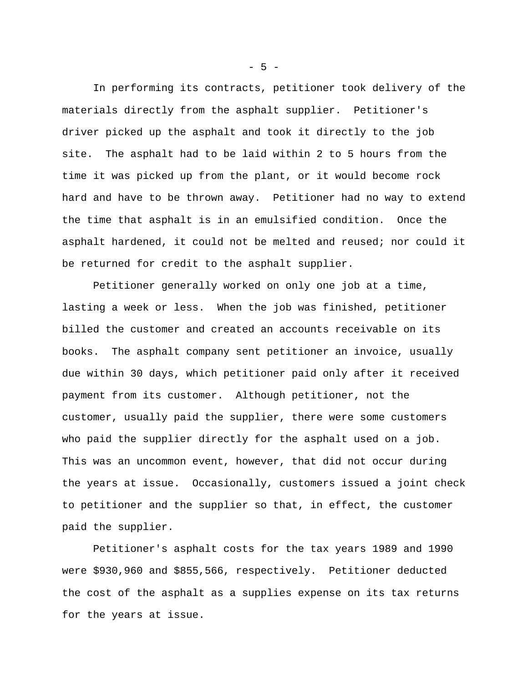In performing its contracts, petitioner took delivery of the materials directly from the asphalt supplier. Petitioner's driver picked up the asphalt and took it directly to the job site. The asphalt had to be laid within 2 to 5 hours from the time it was picked up from the plant, or it would become rock hard and have to be thrown away. Petitioner had no way to extend the time that asphalt is in an emulsified condition. Once the asphalt hardened, it could not be melted and reused; nor could it be returned for credit to the asphalt supplier.

Petitioner generally worked on only one job at a time, lasting a week or less. When the job was finished, petitioner billed the customer and created an accounts receivable on its books. The asphalt company sent petitioner an invoice, usually due within 30 days, which petitioner paid only after it received payment from its customer. Although petitioner, not the customer, usually paid the supplier, there were some customers who paid the supplier directly for the asphalt used on a job. This was an uncommon event, however, that did not occur during the years at issue. Occasionally, customers issued a joint check to petitioner and the supplier so that, in effect, the customer paid the supplier.

Petitioner's asphalt costs for the tax years 1989 and 1990 were \$930,960 and \$855,566, respectively. Petitioner deducted the cost of the asphalt as a supplies expense on its tax returns for the years at issue.

 $-5 -$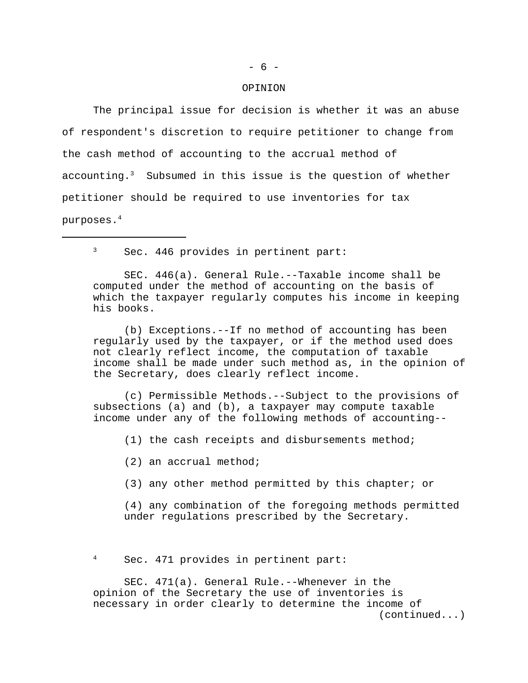# - 6 -

#### OPINION

The principal issue for decision is whether it was an abuse of respondent's discretion to require petitioner to change from the cash method of accounting to the accrual method of accounting.<sup>3</sup> Subsumed in this issue is the question of whether petitioner should be required to use inventories for tax purposes.4

<sup>3</sup> Sec. 446 provides in pertinent part:

SEC. 446(a). General Rule.--Taxable income shall be computed under the method of accounting on the basis of which the taxpayer regularly computes his income in keeping his books.

(b) Exceptions.--If no method of accounting has been regularly used by the taxpayer, or if the method used does not clearly reflect income, the computation of taxable income shall be made under such method as, in the opinion of the Secretary, does clearly reflect income.

(c) Permissible Methods.--Subject to the provisions of subsections (a) and (b), a taxpayer may compute taxable income under any of the following methods of accounting--

(1) the cash receipts and disbursements method;

(2) an accrual method;

(3) any other method permitted by this chapter; or

(4) any combination of the foregoing methods permitted under regulations prescribed by the Secretary.

<sup>4</sup> Sec. 471 provides in pertinent part:

SEC. 471(a). General Rule.--Whenever in the opinion of the Secretary the use of inventories is necessary in order clearly to determine the income of (continued...)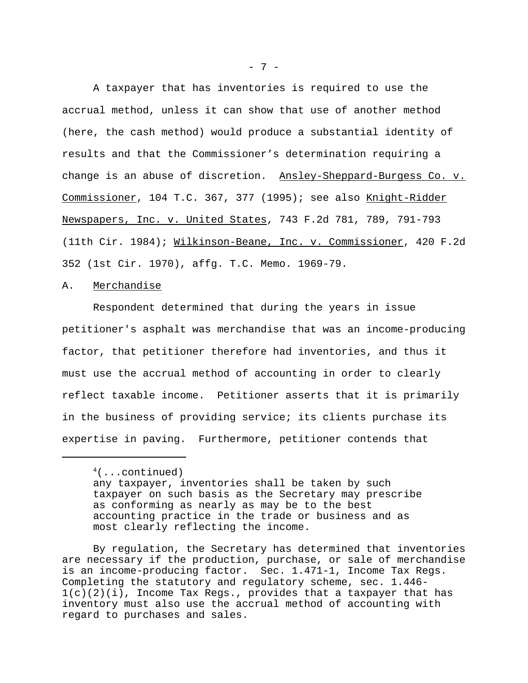A taxpayer that has inventories is required to use the accrual method, unless it can show that use of another method (here, the cash method) would produce a substantial identity of results and that the Commissioner's determination requiring a change is an abuse of discretion. Ansley-Sheppard-Burgess Co. v. Commissioner, 104 T.C. 367, 377 (1995); see also Knight-Ridder Newspapers, Inc. v. United States, 743 F.2d 781, 789, 791-793 (11th Cir. 1984); Wilkinson-Beane, Inc. v. Commissioner, 420 F.2d 352 (1st Cir. 1970), affg. T.C. Memo. 1969-79.

### A. Merchandise

Respondent determined that during the years in issue petitioner's asphalt was merchandise that was an income-producing factor, that petitioner therefore had inventories, and thus it must use the accrual method of accounting in order to clearly reflect taxable income. Petitioner asserts that it is primarily in the business of providing service; its clients purchase its expertise in paving. Furthermore, petitioner contends that

By regulation, the Secretary has determined that inventories are necessary if the production, purchase, or sale of merchandise is an income-producing factor. Sec. 1.471-1, Income Tax Regs. Completing the statutory and regulatory scheme, sec. 1.446- 1(c)(2)(i), Income Tax Regs., provides that a taxpayer that has inventory must also use the accrual method of accounting with regard to purchases and sales.

 $4($ ...continued)

any taxpayer, inventories shall be taken by such taxpayer on such basis as the Secretary may prescribe as conforming as nearly as may be to the best accounting practice in the trade or business and as most clearly reflecting the income.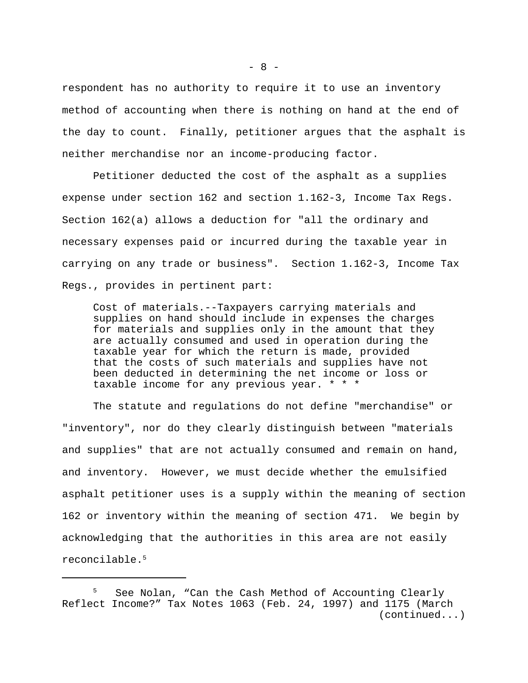respondent has no authority to require it to use an inventory method of accounting when there is nothing on hand at the end of the day to count. Finally, petitioner argues that the asphalt is neither merchandise nor an income-producing factor.

Petitioner deducted the cost of the asphalt as a supplies expense under section 162 and section 1.162-3, Income Tax Regs. Section 162(a) allows a deduction for "all the ordinary and necessary expenses paid or incurred during the taxable year in carrying on any trade or business". Section 1.162-3, Income Tax Regs., provides in pertinent part:

Cost of materials.--Taxpayers carrying materials and supplies on hand should include in expenses the charges for materials and supplies only in the amount that they are actually consumed and used in operation during the taxable year for which the return is made, provided that the costs of such materials and supplies have not been deducted in determining the net income or loss or taxable income for any previous year. \* \* \*

The statute and regulations do not define "merchandise" or "inventory", nor do they clearly distinguish between "materials and supplies" that are not actually consumed and remain on hand, and inventory. However, we must decide whether the emulsified asphalt petitioner uses is a supply within the meaning of section 162 or inventory within the meaning of section 471. We begin by acknowledging that the authorities in this area are not easily reconcilable.5

<sup>5</sup> See Nolan, "Can the Cash Method of Accounting Clearly Reflect Income?" Tax Notes 1063 (Feb. 24, 1997) and 1175 (March (continued...)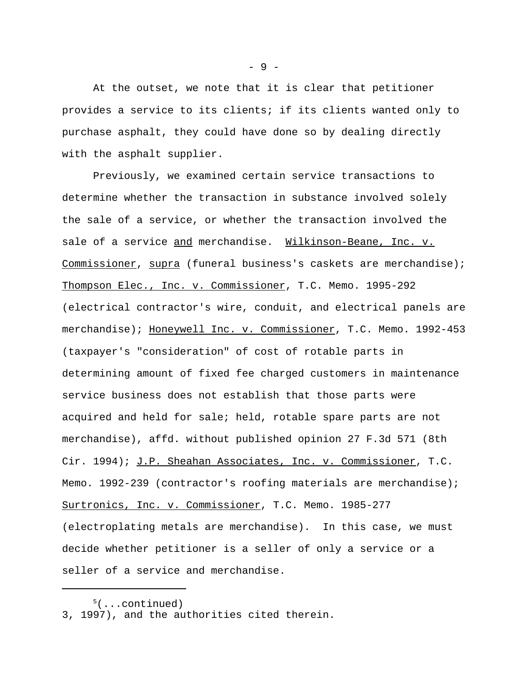At the outset, we note that it is clear that petitioner provides a service to its clients; if its clients wanted only to purchase asphalt, they could have done so by dealing directly with the asphalt supplier.

Previously, we examined certain service transactions to determine whether the transaction in substance involved solely the sale of a service, or whether the transaction involved the sale of a service and merchandise. Wilkinson-Beane, Inc. v. Commissioner, supra (funeral business's caskets are merchandise); Thompson Elec., Inc. v. Commissioner, T.C. Memo. 1995-292 (electrical contractor's wire, conduit, and electrical panels are merchandise); Honeywell Inc. v. Commissioner, T.C. Memo. 1992-453 (taxpayer's "consideration" of cost of rotable parts in determining amount of fixed fee charged customers in maintenance service business does not establish that those parts were acquired and held for sale; held, rotable spare parts are not merchandise), affd. without published opinion 27 F.3d 571 (8th Cir. 1994); J.P. Sheahan Associates, Inc. v. Commissioner, T.C. Memo. 1992-239 (contractor's roofing materials are merchandise); Surtronics, Inc. v. Commissioner, T.C. Memo. 1985-277 (electroplating metals are merchandise). In this case, we must decide whether petitioner is a seller of only a service or a seller of a service and merchandise.

- 9 -

 $5($ ...continued)

<sup>3, 1997),</sup> and the authorities cited therein.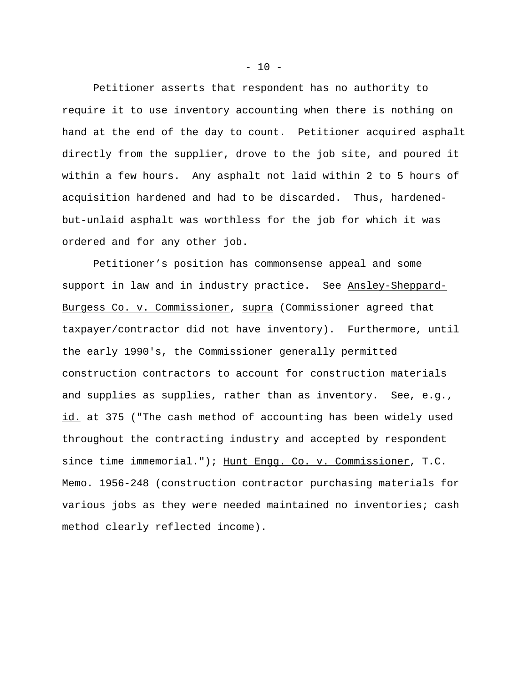Petitioner asserts that respondent has no authority to require it to use inventory accounting when there is nothing on hand at the end of the day to count. Petitioner acquired asphalt directly from the supplier, drove to the job site, and poured it within a few hours. Any asphalt not laid within 2 to 5 hours of acquisition hardened and had to be discarded. Thus, hardenedbut-unlaid asphalt was worthless for the job for which it was ordered and for any other job.

Petitioner's position has commonsense appeal and some support in law and in industry practice. See Ansley-Sheppard-Burgess Co. v. Commissioner, supra (Commissioner agreed that taxpayer/contractor did not have inventory). Furthermore, until the early 1990's, the Commissioner generally permitted construction contractors to account for construction materials and supplies as supplies, rather than as inventory. See, e.g., id. at 375 ("The cash method of accounting has been widely used throughout the contracting industry and accepted by respondent since time immemorial."); Hunt Engg. Co. v. Commissioner, T.C. Memo. 1956-248 (construction contractor purchasing materials for various jobs as they were needed maintained no inventories; cash method clearly reflected income).

 $- 10 -$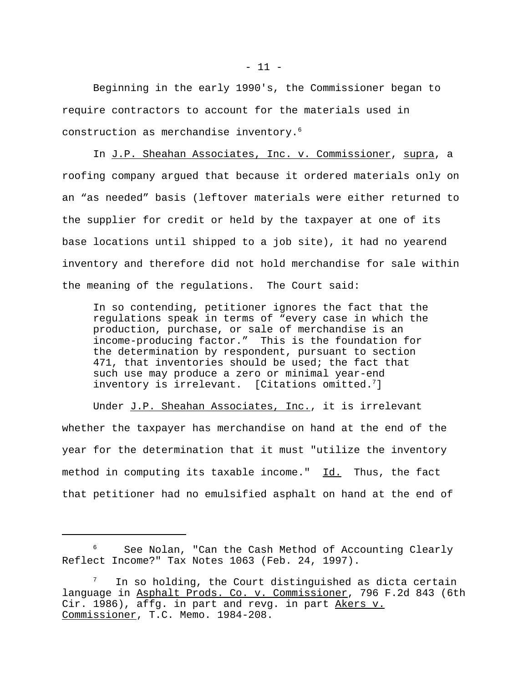Beginning in the early 1990's, the Commissioner began to require contractors to account for the materials used in construction as merchandise inventory.<sup>6</sup>

In J.P. Sheahan Associates, Inc. v. Commissioner, supra, a roofing company argued that because it ordered materials only on an "as needed" basis (leftover materials were either returned to the supplier for credit or held by the taxpayer at one of its base locations until shipped to a job site), it had no yearend inventory and therefore did not hold merchandise for sale within the meaning of the regulations. The Court said:

In so contending, petitioner ignores the fact that the regulations speak in terms of "every case in which the production, purchase, or sale of merchandise is an income-producing factor." This is the foundation for the determination by respondent, pursuant to section 471, that inventories should be used; the fact that such use may produce a zero or minimal year-end inventory is irrelevant. [Citations omitted.<sup>7</sup>]

Under J.P. Sheahan Associates, Inc., it is irrelevant whether the taxpayer has merchandise on hand at the end of the year for the determination that it must "utilize the inventory method in computing its taxable income." Id. Thus, the fact that petitioner had no emulsified asphalt on hand at the end of

See Nolan, "Can the Cash Method of Accounting Clearly Reflect Income?" Tax Notes 1063 (Feb. 24, 1997).

In so holding, the Court distinguished as dicta certain language in Asphalt Prods. Co. v. Commissioner, 796 F.2d 843 (6th Cir. 1986), affg. in part and revg. in part Akers v. Commissioner, T.C. Memo. 1984-208.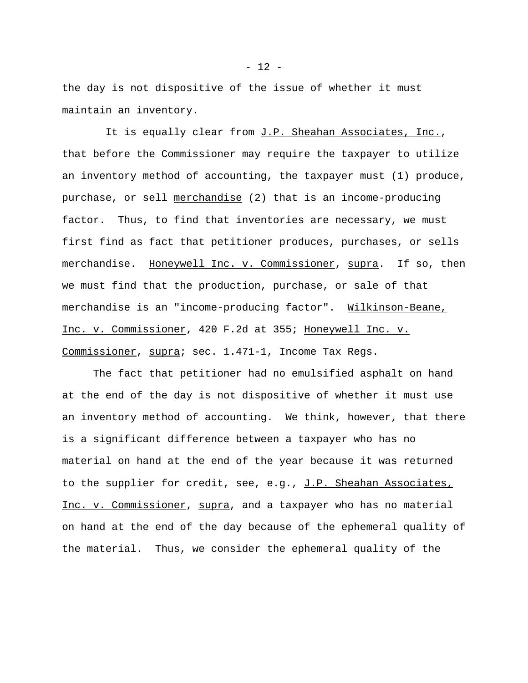the day is not dispositive of the issue of whether it must maintain an inventory.

It is equally clear from J.P. Sheahan Associates, Inc., that before the Commissioner may require the taxpayer to utilize an inventory method of accounting, the taxpayer must (1) produce, purchase, or sell merchandise (2) that is an income-producing factor. Thus, to find that inventories are necessary, we must first find as fact that petitioner produces, purchases, or sells merchandise. Honeywell Inc. v. Commissioner, supra. If so, then we must find that the production, purchase, or sale of that merchandise is an "income-producing factor". Wilkinson-Beane, Inc. v. Commissioner, 420 F.2d at 355; Honeywell Inc. v. Commissioner, supra; sec. 1.471-1, Income Tax Regs.

The fact that petitioner had no emulsified asphalt on hand at the end of the day is not dispositive of whether it must use an inventory method of accounting. We think, however, that there is a significant difference between a taxpayer who has no material on hand at the end of the year because it was returned to the supplier for credit, see, e.g., J.P. Sheahan Associates, Inc. v. Commissioner, supra, and a taxpayer who has no material on hand at the end of the day because of the ephemeral quality of the material. Thus, we consider the ephemeral quality of the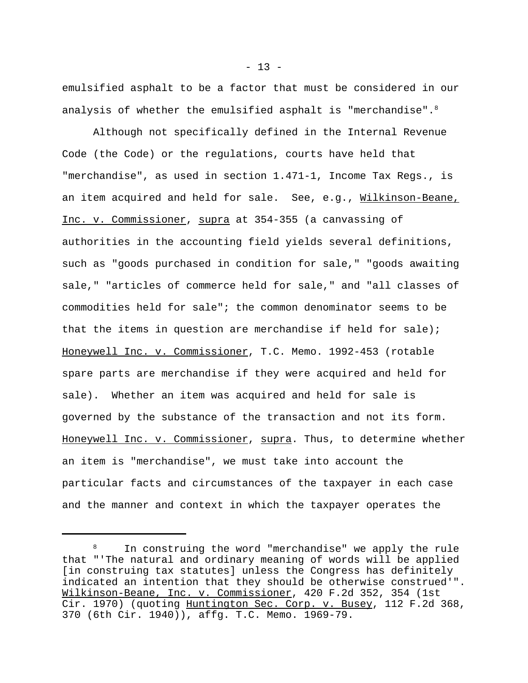emulsified asphalt to be a factor that must be considered in our analysis of whether the emulsified asphalt is "merchandise". $8$ 

Although not specifically defined in the Internal Revenue Code (the Code) or the regulations, courts have held that "merchandise", as used in section 1.471-1, Income Tax Regs., is an item acquired and held for sale. See, e.g., Wilkinson-Beane, Inc. v. Commissioner, supra at 354-355 (a canvassing of authorities in the accounting field yields several definitions, such as "goods purchased in condition for sale," "goods awaiting sale," "articles of commerce held for sale," and "all classes of commodities held for sale"; the common denominator seems to be that the items in question are merchandise if held for sale); Honeywell Inc. v. Commissioner, T.C. Memo. 1992-453 (rotable spare parts are merchandise if they were acquired and held for sale). Whether an item was acquired and held for sale is governed by the substance of the transaction and not its form. Honeywell Inc. v. Commissioner, supra. Thus, to determine whether an item is "merchandise", we must take into account the particular facts and circumstances of the taxpayer in each case and the manner and context in which the taxpayer operates the

 $- 13 -$ 

In construing the word "merchandise" we apply the rule that "'The natural and ordinary meaning of words will be applied [in construing tax statutes] unless the Congress has definitely indicated an intention that they should be otherwise construed'". Wilkinson-Beane, Inc. v. Commissioner, 420 F.2d 352, 354 (1st Cir. 1970) (quoting Huntington Sec. Corp. v. Busey, 112 F.2d 368, 370 (6th Cir. 1940)), affg. T.C. Memo. 1969-79.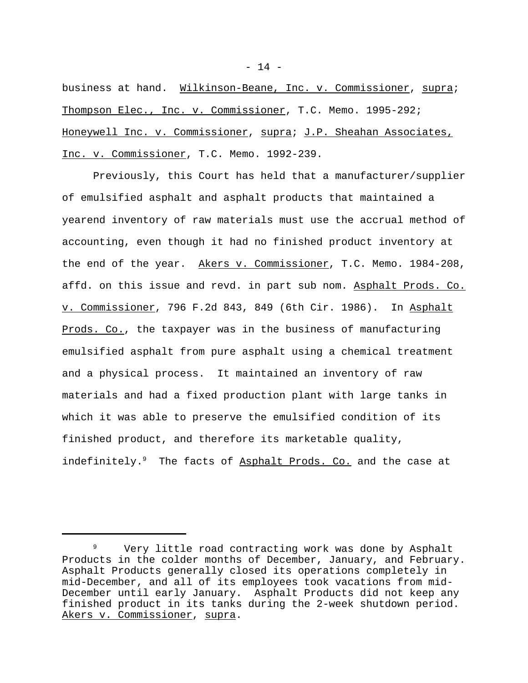business at hand. Wilkinson-Beane, Inc. v. Commissioner, supra; Thompson Elec., Inc. v. Commissioner, T.C. Memo. 1995-292; Honeywell Inc. v. Commissioner, supra; J.P. Sheahan Associates, Inc. v. Commissioner, T.C. Memo. 1992-239.

Previously, this Court has held that a manufacturer/supplier of emulsified asphalt and asphalt products that maintained a yearend inventory of raw materials must use the accrual method of accounting, even though it had no finished product inventory at the end of the year. Akers v. Commissioner, T.C. Memo. 1984-208, affd. on this issue and revd. in part sub nom. Asphalt Prods. Co. v. Commissioner, 796 F.2d 843, 849 (6th Cir. 1986). In Asphalt Prods. Co., the taxpayer was in the business of manufacturing emulsified asphalt from pure asphalt using a chemical treatment and a physical process. It maintained an inventory of raw materials and had a fixed production plant with large tanks in which it was able to preserve the emulsified condition of its finished product, and therefore its marketable quality, indefinitely.<sup>9</sup> The facts of Asphalt Prods. Co. and the case at

<sup>9</sup> Very little road contracting work was done by Asphalt Products in the colder months of December, January, and February. Asphalt Products generally closed its operations completely in mid-December, and all of its employees took vacations from mid-December until early January. Asphalt Products did not keep any finished product in its tanks during the 2-week shutdown period. Akers v. Commissioner, supra.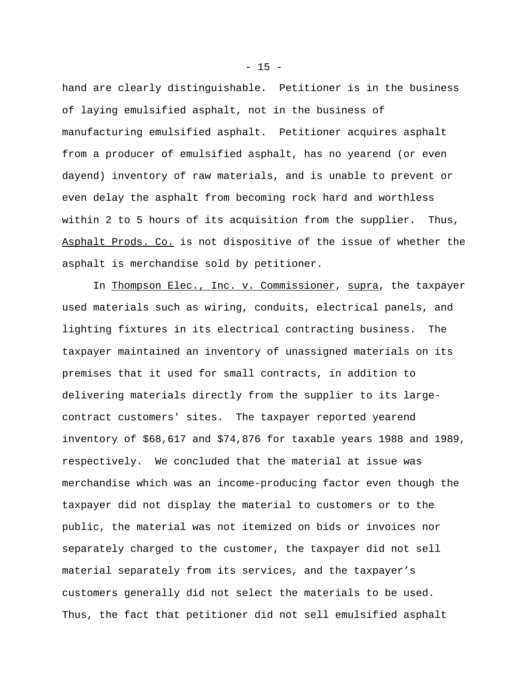hand are clearly distinguishable. Petitioner is in the business of laying emulsified asphalt, not in the business of manufacturing emulsified asphalt. Petitioner acquires asphalt from a producer of emulsified asphalt, has no yearend (or even dayend) inventory of raw materials, and is unable to prevent or even delay the asphalt from becoming rock hard and worthless within 2 to 5 hours of its acquisition from the supplier. Thus, Asphalt Prods. Co. is not dispositive of the issue of whether the asphalt is merchandise sold by petitioner.

In Thompson Elec., Inc. v. Commissioner, supra, the taxpayer used materials such as wiring, conduits, electrical panels, and lighting fixtures in its electrical contracting business. The taxpayer maintained an inventory of unassigned materials on its premises that it used for small contracts, in addition to delivering materials directly from the supplier to its largecontract customers' sites. The taxpayer reported yearend inventory of \$68,617 and \$74,876 for taxable years 1988 and 1989, respectively. We concluded that the material at issue was merchandise which was an income-producing factor even though the taxpayer did not display the material to customers or to the public, the material was not itemized on bids or invoices nor separately charged to the customer, the taxpayer did not sell material separately from its services, and the taxpayer's customers generally did not select the materials to be used. Thus, the fact that petitioner did not sell emulsified asphalt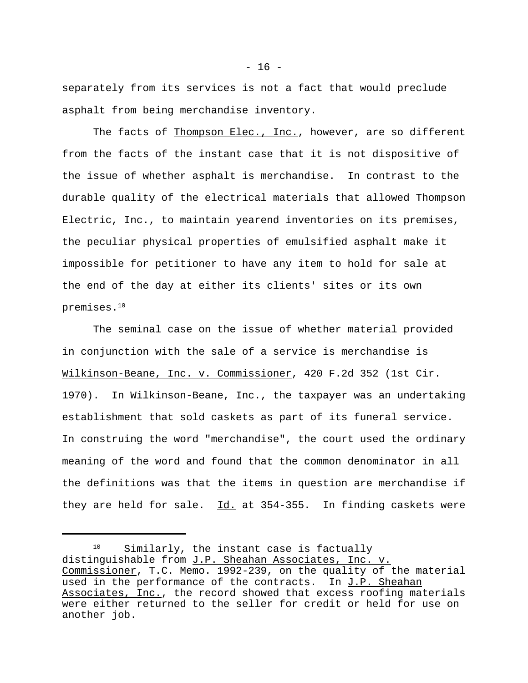separately from its services is not a fact that would preclude asphalt from being merchandise inventory.

The facts of Thompson Elec., Inc., however, are so different from the facts of the instant case that it is not dispositive of the issue of whether asphalt is merchandise. In contrast to the durable quality of the electrical materials that allowed Thompson Electric, Inc., to maintain yearend inventories on its premises, the peculiar physical properties of emulsified asphalt make it impossible for petitioner to have any item to hold for sale at the end of the day at either its clients' sites or its own premises.<sup>10</sup>

The seminal case on the issue of whether material provided in conjunction with the sale of a service is merchandise is Wilkinson-Beane, Inc. v. Commissioner, 420 F.2d 352 (1st Cir. 1970). In Wilkinson-Beane, Inc., the taxpayer was an undertaking establishment that sold caskets as part of its funeral service. In construing the word "merchandise", the court used the ordinary meaning of the word and found that the common denominator in all the definitions was that the items in question are merchandise if they are held for sale.  $Id.$  at 354-355. In finding caskets were

<sup>&</sup>lt;sup>10</sup> Similarly, the instant case is factually distinguishable from J.P. Sheahan Associates, Inc. v. Commissioner, T.C. Memo. 1992-239, on the quality of the material used in the performance of the contracts. In J.P. Sheahan Associates, Inc., the record showed that excess roofing materials were either returned to the seller for credit or held for use on another job.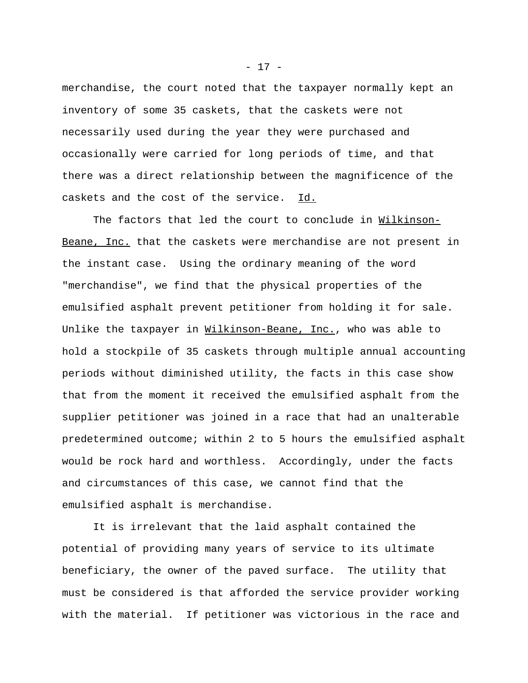merchandise, the court noted that the taxpayer normally kept an inventory of some 35 caskets, that the caskets were not necessarily used during the year they were purchased and occasionally were carried for long periods of time, and that there was a direct relationship between the magnificence of the caskets and the cost of the service. Id.

 The factors that led the court to conclude in Wilkinson-Beane, Inc. that the caskets were merchandise are not present in the instant case. Using the ordinary meaning of the word "merchandise", we find that the physical properties of the emulsified asphalt prevent petitioner from holding it for sale. Unlike the taxpayer in Wilkinson-Beane, Inc., who was able to hold a stockpile of 35 caskets through multiple annual accounting periods without diminished utility, the facts in this case show that from the moment it received the emulsified asphalt from the supplier petitioner was joined in a race that had an unalterable predetermined outcome; within 2 to 5 hours the emulsified asphalt would be rock hard and worthless. Accordingly, under the facts and circumstances of this case, we cannot find that the emulsified asphalt is merchandise.

It is irrelevant that the laid asphalt contained the potential of providing many years of service to its ultimate beneficiary, the owner of the paved surface. The utility that must be considered is that afforded the service provider working with the material. If petitioner was victorious in the race and

- 17 -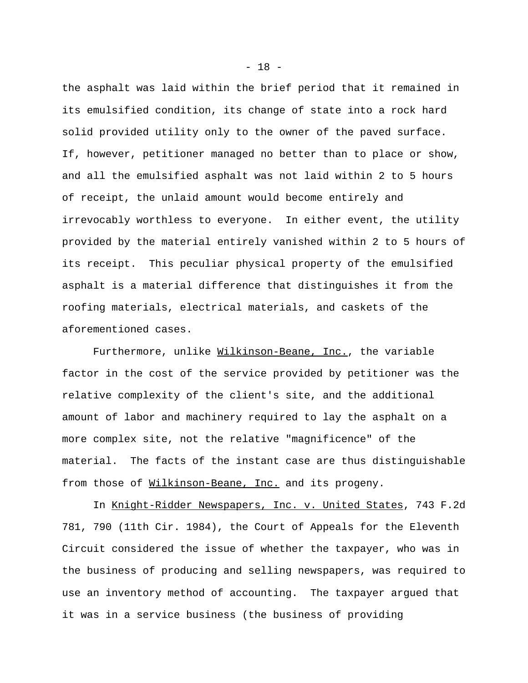the asphalt was laid within the brief period that it remained in its emulsified condition, its change of state into a rock hard solid provided utility only to the owner of the paved surface. If, however, petitioner managed no better than to place or show, and all the emulsified asphalt was not laid within 2 to 5 hours of receipt, the unlaid amount would become entirely and irrevocably worthless to everyone. In either event, the utility provided by the material entirely vanished within 2 to 5 hours of its receipt. This peculiar physical property of the emulsified asphalt is a material difference that distinguishes it from the roofing materials, electrical materials, and caskets of the aforementioned cases.

Furthermore, unlike Wilkinson-Beane, Inc., the variable factor in the cost of the service provided by petitioner was the relative complexity of the client's site, and the additional amount of labor and machinery required to lay the asphalt on a more complex site, not the relative "magnificence" of the material. The facts of the instant case are thus distinguishable from those of Wilkinson-Beane, Inc. and its progeny.

In Knight-Ridder Newspapers, Inc. v. United States, 743 F.2d 781, 790 (11th Cir. 1984), the Court of Appeals for the Eleventh Circuit considered the issue of whether the taxpayer, who was in the business of producing and selling newspapers, was required to use an inventory method of accounting. The taxpayer argued that it was in a service business (the business of providing

- 18 -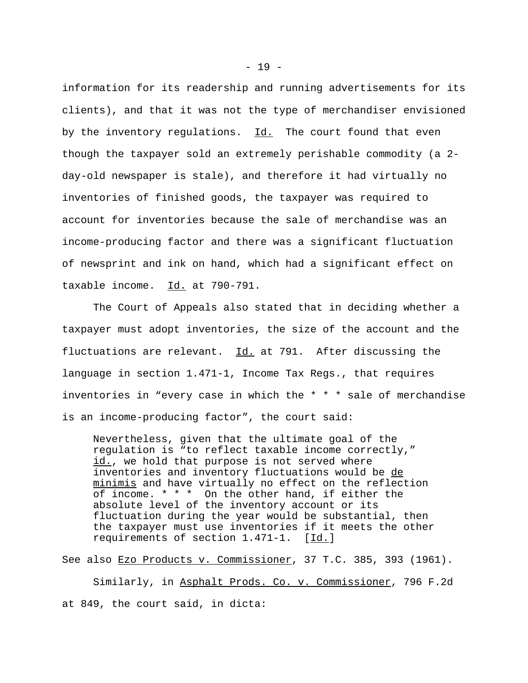information for its readership and running advertisements for its clients), and that it was not the type of merchandiser envisioned by the inventory regulations. Id. The court found that even though the taxpayer sold an extremely perishable commodity (a 2 day-old newspaper is stale), and therefore it had virtually no inventories of finished goods, the taxpayer was required to account for inventories because the sale of merchandise was an income-producing factor and there was a significant fluctuation of newsprint and ink on hand, which had a significant effect on taxable income. Id. at 790-791.

The Court of Appeals also stated that in deciding whether a taxpayer must adopt inventories, the size of the account and the fluctuations are relevant.  $\underline{Id.}$  at 791. After discussing the language in section 1.471-1, Income Tax Regs., that requires inventories in "every case in which the \* \* \* sale of merchandise is an income-producing factor", the court said:

Nevertheless, given that the ultimate goal of the regulation is "to reflect taxable income correctly," id., we hold that purpose is not served where inventories and inventory fluctuations would be de minimis and have virtually no effect on the reflection of income. \* \* \* On the other hand, if either the absolute level of the inventory account or its fluctuation during the year would be substantial, then the taxpayer must use inventories if it meets the other requirements of section 1.471-1. [Id.]

See also Ezo Products v. Commissioner, 37 T.C. 385, 393 (1961).

Similarly, in Asphalt Prods. Co. v. Commissioner, 796 F.2d at 849, the court said, in dicta: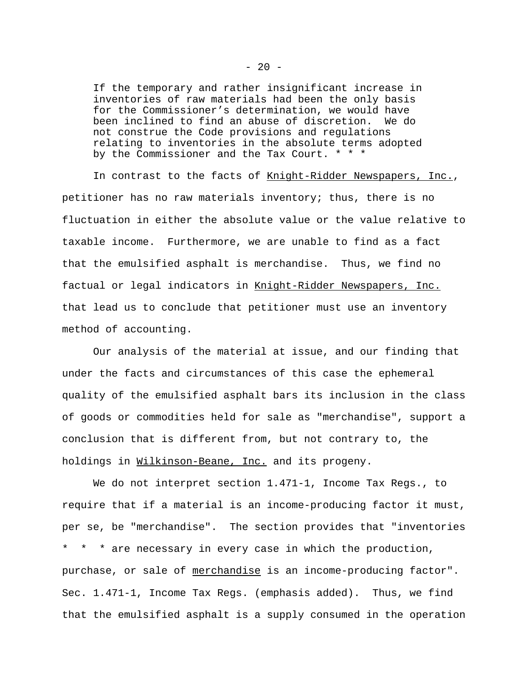If the temporary and rather insignificant increase in inventories of raw materials had been the only basis for the Commissioner's determination, we would have been inclined to find an abuse of discretion. We do not construe the Code provisions and regulations relating to inventories in the absolute terms adopted by the Commissioner and the Tax Court. \* \* \*

In contrast to the facts of Knight-Ridder Newspapers, Inc., petitioner has no raw materials inventory; thus, there is no fluctuation in either the absolute value or the value relative to taxable income. Furthermore, we are unable to find as a fact that the emulsified asphalt is merchandise. Thus, we find no factual or legal indicators in Knight-Ridder Newspapers, Inc. that lead us to conclude that petitioner must use an inventory method of accounting.

Our analysis of the material at issue, and our finding that under the facts and circumstances of this case the ephemeral quality of the emulsified asphalt bars its inclusion in the class of goods or commodities held for sale as "merchandise", support a conclusion that is different from, but not contrary to, the holdings in Wilkinson-Beane, Inc. and its progeny.

We do not interpret section 1.471-1, Income Tax Regs., to require that if a material is an income-producing factor it must, per se, be "merchandise". The section provides that "inventories \* \* \* are necessary in every case in which the production, purchase, or sale of merchandise is an income-producing factor". Sec. 1.471-1, Income Tax Regs. (emphasis added). Thus, we find that the emulsified asphalt is a supply consumed in the operation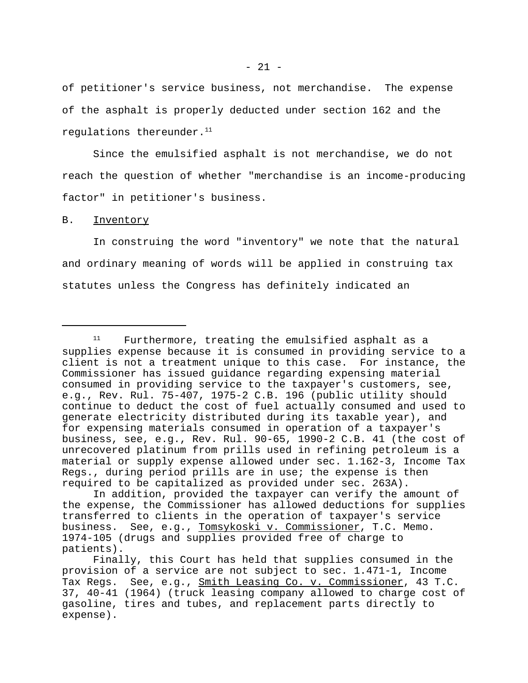of petitioner's service business, not merchandise. The expense of the asphalt is properly deducted under section 162 and the regulations thereunder. $11$ 

Since the emulsified asphalt is not merchandise, we do not reach the question of whether "merchandise is an income-producing factor" in petitioner's business.

#### B. Inventory

In construing the word "inventory" we note that the natural and ordinary meaning of words will be applied in construing tax statutes unless the Congress has definitely indicated an

 $11$  Furthermore, treating the emulsified asphalt as a supplies expense because it is consumed in providing service to a client is not a treatment unique to this case. For instance, the Commissioner has issued guidance regarding expensing material consumed in providing service to the taxpayer's customers, see, e.g., Rev. Rul. 75-407, 1975-2 C.B. 196 (public utility should continue to deduct the cost of fuel actually consumed and used to generate electricity distributed during its taxable year), and for expensing materials consumed in operation of a taxpayer's business, see, e.g., Rev. Rul. 90-65, 1990-2 C.B. 41 (the cost of unrecovered platinum from prills used in refining petroleum is a material or supply expense allowed under sec. 1.162-3, Income Tax Regs., during period prills are in use; the expense is then required to be capitalized as provided under sec. 263A).

In addition, provided the taxpayer can verify the amount of the expense, the Commissioner has allowed deductions for supplies transferred to clients in the operation of taxpayer's service business. See, e.g., Tomsykoski v. Commissioner, T.C. Memo. 1974-105 (drugs and supplies provided free of charge to patients).

Finally, this Court has held that supplies consumed in the provision of a service are not subject to sec. 1.471-1, Income Tax Regs. See, e.g., Smith Leasing Co. v. Commissioner, 43 T.C. 37, 40-41 (1964) (truck leasing company allowed to charge cost of gasoline, tires and tubes, and replacement parts directly to expense).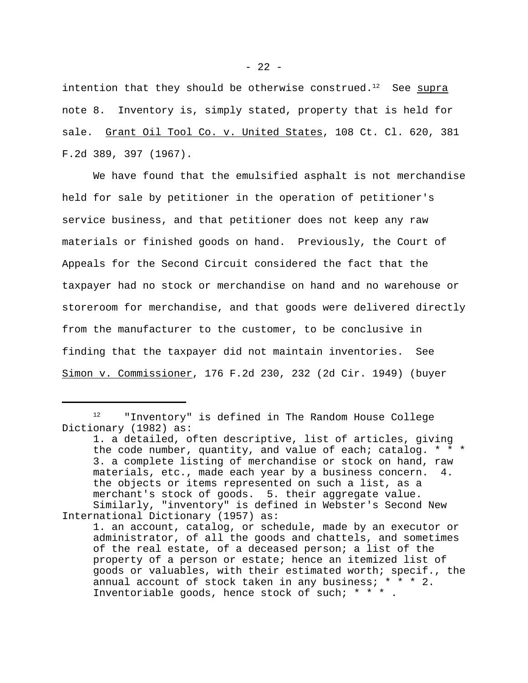intention that they should be otherwise construed.<sup>12</sup> See supra note 8. Inventory is, simply stated, property that is held for sale. Grant Oil Tool Co. v. United States, 108 Ct. Cl. 620, 381 F.2d 389, 397 (1967).

We have found that the emulsified asphalt is not merchandise held for sale by petitioner in the operation of petitioner's service business, and that petitioner does not keep any raw materials or finished goods on hand. Previously, the Court of Appeals for the Second Circuit considered the fact that the taxpayer had no stock or merchandise on hand and no warehouse or storeroom for merchandise, and that goods were delivered directly from the manufacturer to the customer, to be conclusive in finding that the taxpayer did not maintain inventories. See Simon v. Commissioner, 176 F.2d 230, 232 (2d Cir. 1949) (buyer

<sup>12</sup> "Inventory" is defined in The Random House College Dictionary (1982) as:

<sup>1.</sup> a detailed, often descriptive, list of articles, giving the code number, quantity, and value of each; catalog. \* \* \* 3. a complete listing of merchandise or stock on hand, raw materials, etc., made each year by a business concern. 4. the objects or items represented on such a list, as a merchant's stock of goods. 5. their aggregate value. Similarly, "inventory" is defined in Webster's Second New International Dictionary (1957) as:

<sup>1.</sup> an account, catalog, or schedule, made by an executor or administrator, of all the goods and chattels, and sometimes of the real estate, of a deceased person; a list of the property of a person or estate; hence an itemized list of goods or valuables, with their estimated worth; specif., the annual account of stock taken in any business; \* \* \* 2. Inventoriable goods, hence stock of such; \* \* \* .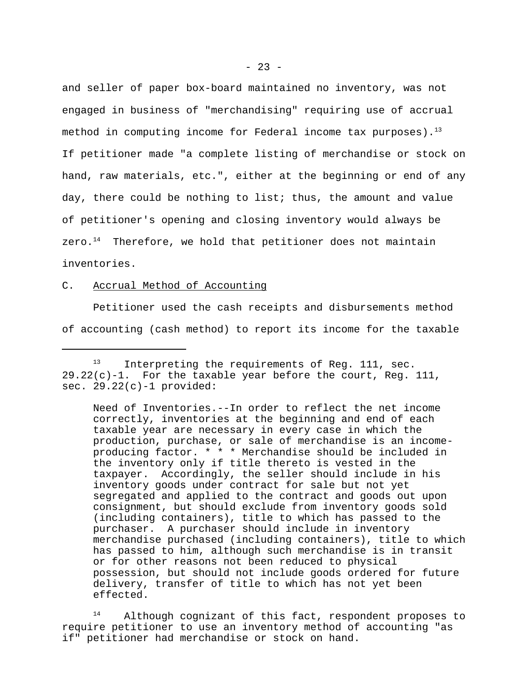and seller of paper box-board maintained no inventory, was not engaged in business of "merchandising" requiring use of accrual method in computing income for Federal income tax purposes).<sup>13</sup> If petitioner made "a complete listing of merchandise or stock on hand, raw materials, etc.", either at the beginning or end of any day, there could be nothing to list; thus, the amount and value of petitioner's opening and closing inventory would always be zero. $14$  Therefore, we hold that petitioner does not maintain inventories.

# C. Accrual Method of Accounting

Petitioner used the cash receipts and disbursements method of accounting (cash method) to report its income for the taxable

Need of Inventories.--In order to reflect the net income correctly, inventories at the beginning and end of each taxable year are necessary in every case in which the production, purchase, or sale of merchandise is an incomeproducing factor. \* \* \* Merchandise should be included in the inventory only if title thereto is vested in the taxpayer. Accordingly, the seller should include in his inventory goods under contract for sale but not yet segregated and applied to the contract and goods out upon consignment, but should exclude from inventory goods sold (including containers), title to which has passed to the purchaser. A purchaser should include in inventory merchandise purchased (including containers), title to which has passed to him, although such merchandise is in transit or for other reasons not been reduced to physical possession, but should not include goods ordered for future delivery, transfer of title to which has not yet been effected.

<sup>14</sup> Although cognizant of this fact, respondent proposes to require petitioner to use an inventory method of accounting "as if" petitioner had merchandise or stock on hand.

<sup>&</sup>lt;sup>13</sup> Interpreting the requirements of Reg. 111, sec.  $29.22(c)-1$ . For the taxable year before the court, Req. 111, sec. 29.22(c)-1 provided: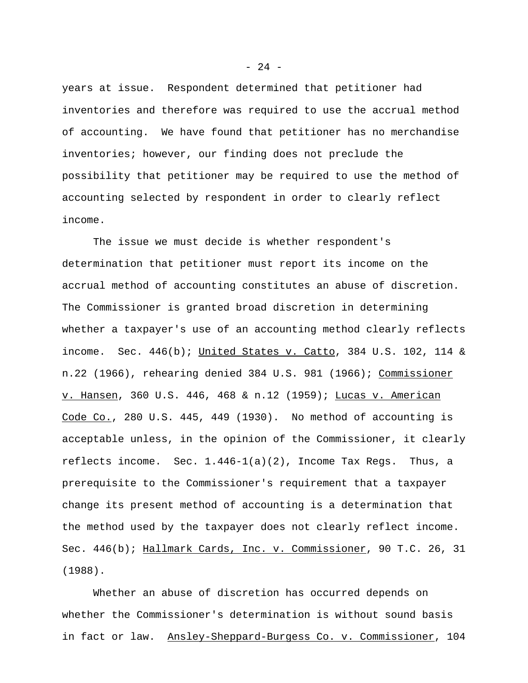years at issue. Respondent determined that petitioner had inventories and therefore was required to use the accrual method of accounting. We have found that petitioner has no merchandise inventories; however, our finding does not preclude the possibility that petitioner may be required to use the method of accounting selected by respondent in order to clearly reflect income.

The issue we must decide is whether respondent's determination that petitioner must report its income on the accrual method of accounting constitutes an abuse of discretion. The Commissioner is granted broad discretion in determining whether a taxpayer's use of an accounting method clearly reflects income. Sec. 446(b); United States v. Catto, 384 U.S. 102, 114 & n.22 (1966), rehearing denied 384 U.S. 981 (1966); Commissioner v. Hansen, 360 U.S. 446, 468 & n.12 (1959); Lucas v. American Code Co., 280 U.S. 445, 449 (1930). No method of accounting is acceptable unless, in the opinion of the Commissioner, it clearly reflects income. Sec.  $1.446-1(a)(2)$ , Income Tax Reqs. Thus, a prerequisite to the Commissioner's requirement that a taxpayer change its present method of accounting is a determination that the method used by the taxpayer does not clearly reflect income. Sec. 446(b); Hallmark Cards, Inc. v. Commissioner, 90 T.C. 26, 31 (1988).

Whether an abuse of discretion has occurred depends on whether the Commissioner's determination is without sound basis in fact or law. Ansley-Sheppard-Burgess Co. v. Commissioner, 104

- 24 -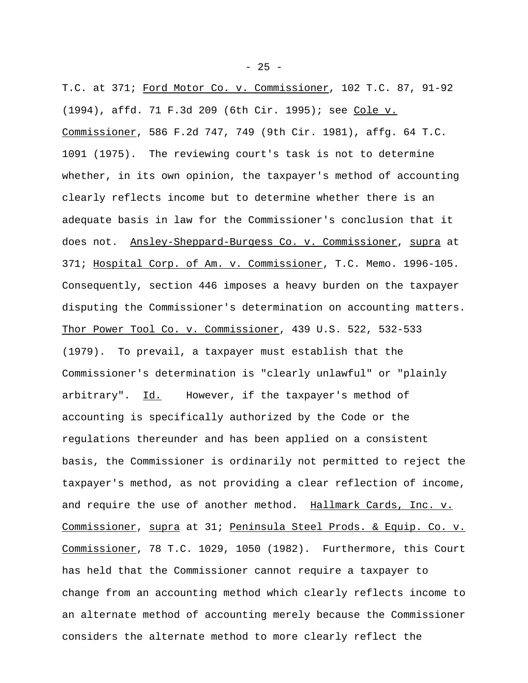T.C. at 371; Ford Motor Co. v. Commissioner, 102 T.C. 87, 91-92 (1994), affd. 71 F.3d 209 (6th Cir. 1995); see Cole v. Commissioner, 586 F.2d 747, 749 (9th Cir. 1981), affg. 64 T.C. 1091 (1975). The reviewing court's task is not to determine whether, in its own opinion, the taxpayer's method of accounting clearly reflects income but to determine whether there is an adequate basis in law for the Commissioner's conclusion that it does not. Ansley-Sheppard-Burgess Co. v. Commissioner, supra at 371; Hospital Corp. of Am. v. Commissioner, T.C. Memo. 1996-105. Consequently, section 446 imposes a heavy burden on the taxpayer disputing the Commissioner's determination on accounting matters. Thor Power Tool Co. v. Commissioner, 439 U.S. 522, 532-533 (1979). To prevail, a taxpayer must establish that the Commissioner's determination is "clearly unlawful" or "plainly arbitrary". Id. However, if the taxpayer's method of accounting is specifically authorized by the Code or the regulations thereunder and has been applied on a consistent basis, the Commissioner is ordinarily not permitted to reject the taxpayer's method, as not providing a clear reflection of income, and require the use of another method. Hallmark Cards, Inc. v. Commissioner, supra at 31; Peninsula Steel Prods. & Equip. Co. v. Commissioner, 78 T.C. 1029, 1050 (1982). Furthermore, this Court has held that the Commissioner cannot require a taxpayer to change from an accounting method which clearly reflects income to an alternate method of accounting merely because the Commissioner considers the alternate method to more clearly reflect the

 $- 25 -$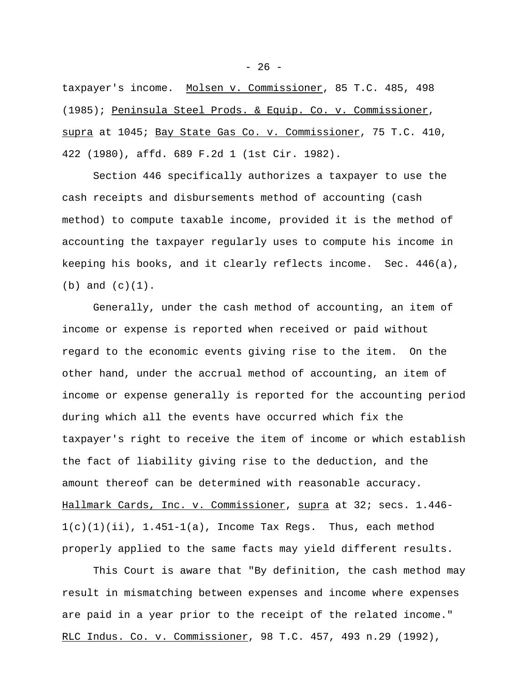taxpayer's income. Molsen v. Commissioner, 85 T.C. 485, 498 (1985); Peninsula Steel Prods. & Equip. Co. v. Commissioner, supra at 1045; Bay State Gas Co. v. Commissioner, 75 T.C. 410, 422 (1980), affd. 689 F.2d 1 (1st Cir. 1982).

Section 446 specifically authorizes a taxpayer to use the cash receipts and disbursements method of accounting (cash method) to compute taxable income, provided it is the method of accounting the taxpayer regularly uses to compute his income in keeping his books, and it clearly reflects income. Sec. 446(a),  $(b)$  and  $(c)(1)$ .

Generally, under the cash method of accounting, an item of income or expense is reported when received or paid without regard to the economic events giving rise to the item. On the other hand, under the accrual method of accounting, an item of income or expense generally is reported for the accounting period during which all the events have occurred which fix the taxpayer's right to receive the item of income or which establish the fact of liability giving rise to the deduction, and the amount thereof can be determined with reasonable accuracy. Hallmark Cards, Inc. v. Commissioner, supra at 32; secs. 1.446-  $1(c)(1)(ii)$ ,  $1.451-1(a)$ , Income Tax Reqs. Thus, each method properly applied to the same facts may yield different results.

This Court is aware that "By definition, the cash method may result in mismatching between expenses and income where expenses are paid in a year prior to the receipt of the related income." RLC Indus. Co. v. Commissioner, 98 T.C. 457, 493 n.29 (1992),

 $- 26 -$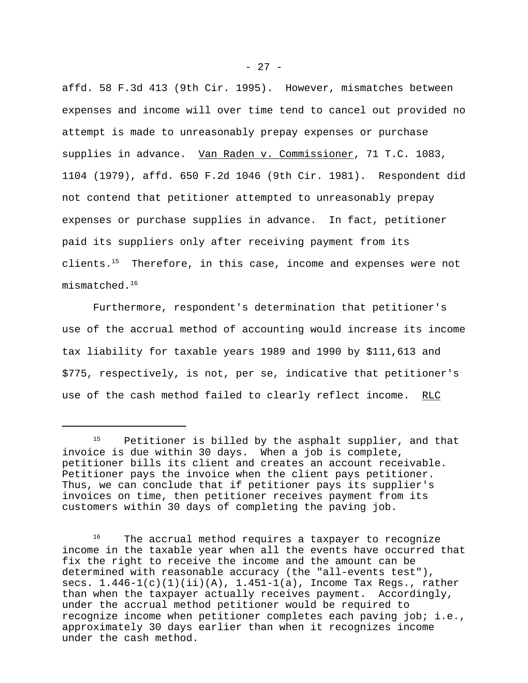affd. 58 F.3d 413 (9th Cir. 1995). However, mismatches between expenses and income will over time tend to cancel out provided no attempt is made to unreasonably prepay expenses or purchase supplies in advance. Van Raden v. Commissioner, 71 T.C. 1083, 1104 (1979), affd. 650 F.2d 1046 (9th Cir. 1981). Respondent did not contend that petitioner attempted to unreasonably prepay expenses or purchase supplies in advance. In fact, petitioner paid its suppliers only after receiving payment from its clients.<sup>15</sup> Therefore, in this case, income and expenses were not mismatched.<sup>16</sup>

Furthermore, respondent's determination that petitioner's use of the accrual method of accounting would increase its income tax liability for taxable years 1989 and 1990 by \$111,613 and \$775, respectively, is not, per se, indicative that petitioner's use of the cash method failed to clearly reflect income. RLC

Petitioner is billed by the asphalt supplier, and that invoice is due within 30 days. When a job is complete, petitioner bills its client and creates an account receivable. Petitioner pays the invoice when the client pays petitioner. Thus, we can conclude that if petitioner pays its supplier's invoices on time, then petitioner receives payment from its customers within 30 days of completing the paving job.

<sup>&</sup>lt;sup>16</sup> The accrual method requires a taxpayer to recognize income in the taxable year when all the events have occurred that fix the right to receive the income and the amount can be determined with reasonable accuracy (the "all-events test"), secs. 1.446-1(c)(1)(ii)(A), 1.451-1(a), Income Tax Regs., rather than when the taxpayer actually receives payment. Accordingly, under the accrual method petitioner would be required to recognize income when petitioner completes each paving job; i.e., approximately 30 days earlier than when it recognizes income under the cash method.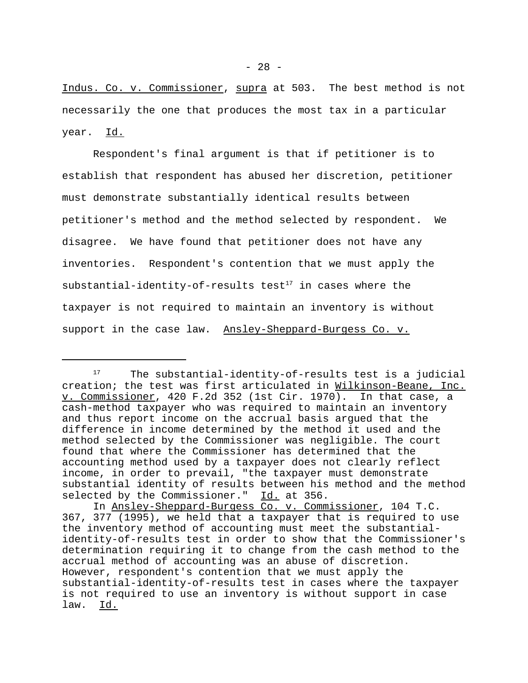$- 28 -$ 

Indus. Co. v. Commissioner, supra at 503. The best method is not necessarily the one that produces the most tax in a particular year. Id.

Respondent's final argument is that if petitioner is to establish that respondent has abused her discretion, petitioner must demonstrate substantially identical results between petitioner's method and the method selected by respondent. We disagree. We have found that petitioner does not have any inventories. Respondent's contention that we must apply the substantial-identity-of-results test<sup>17</sup> in cases where the taxpayer is not required to maintain an inventory is without support in the case law. Ansley-Sheppard-Burgess Co. v.

<sup>&</sup>lt;sup>17</sup> The substantial-identity-of-results test is a judicial creation; the test was first articulated in Wilkinson-Beane, Inc. v. Commissioner, 420 F.2d 352 (1st Cir. 1970). In that case, a cash-method taxpayer who was required to maintain an inventory and thus report income on the accrual basis argued that the difference in income determined by the method it used and the method selected by the Commissioner was negligible. The court found that where the Commissioner has determined that the accounting method used by a taxpayer does not clearly reflect income, in order to prevail, "the taxpayer must demonstrate substantial identity of results between his method and the method selected by the Commissioner." Id. at 356.

In Ansley-Sheppard-Burgess Co. v. Commissioner, 104 T.C. 367, 377 (1995), we held that a taxpayer that is required to use the inventory method of accounting must meet the substantialidentity-of-results test in order to show that the Commissioner's determination requiring it to change from the cash method to the accrual method of accounting was an abuse of discretion. However, respondent's contention that we must apply the substantial-identity-of-results test in cases where the taxpayer is not required to use an inventory is without support in case law. Id.